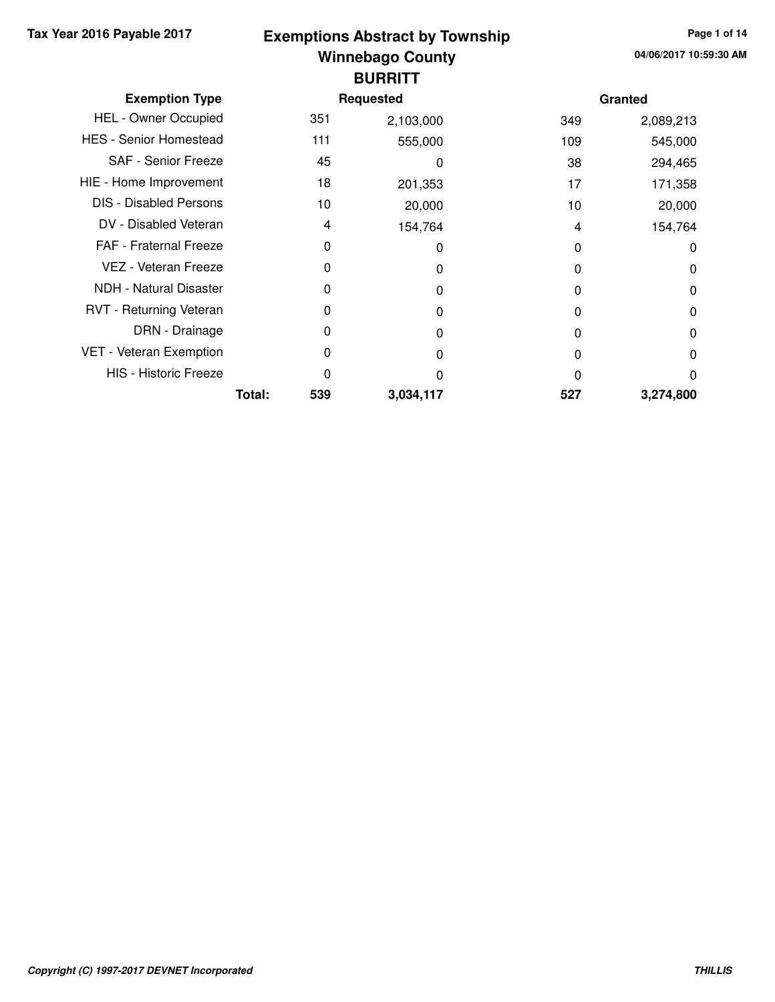## **Winnebago County Tax Year 2016 Payable 2017 Page 1 of 14 Exemptions Abstract by Township BURRITT**

| <b>Exemption Type</b>         |        |     | <b>Requested</b> |     | Granted   |
|-------------------------------|--------|-----|------------------|-----|-----------|
| <b>HEL - Owner Occupied</b>   |        | 351 | 2,103,000        | 349 | 2,089,213 |
| <b>HES - Senior Homestead</b> |        | 111 | 555,000          | 109 | 545,000   |
| SAF - Senior Freeze           |        | 45  | 0                | 38  | 294,465   |
| HIE - Home Improvement        |        | 18  | 201,353          | 17  | 171,358   |
| <b>DIS</b> - Disabled Persons |        | 10  | 20,000           | 10  | 20,000    |
| DV - Disabled Veteran         |        | 4   | 154,764          | 4   | 154,764   |
| FAF - Fraternal Freeze        |        | 0   | 0                | 0   | 0         |
| VEZ - Veteran Freeze          |        | 0   | 0                | 0   | 0         |
| <b>NDH - Natural Disaster</b> |        | 0   | 0                | 0   | 0         |
| RVT - Returning Veteran       |        | 0   | 0                | 0   | 0         |
| DRN - Drainage                |        | 0   | 0                | 0   | 0         |
| VET - Veteran Exemption       |        | 0   | 0                | 0   | 0         |
| <b>HIS - Historic Freeze</b>  |        | 0   | O                | 0   | $\Omega$  |
|                               | Total: | 539 | 3,034,117        | 527 | 3,274,800 |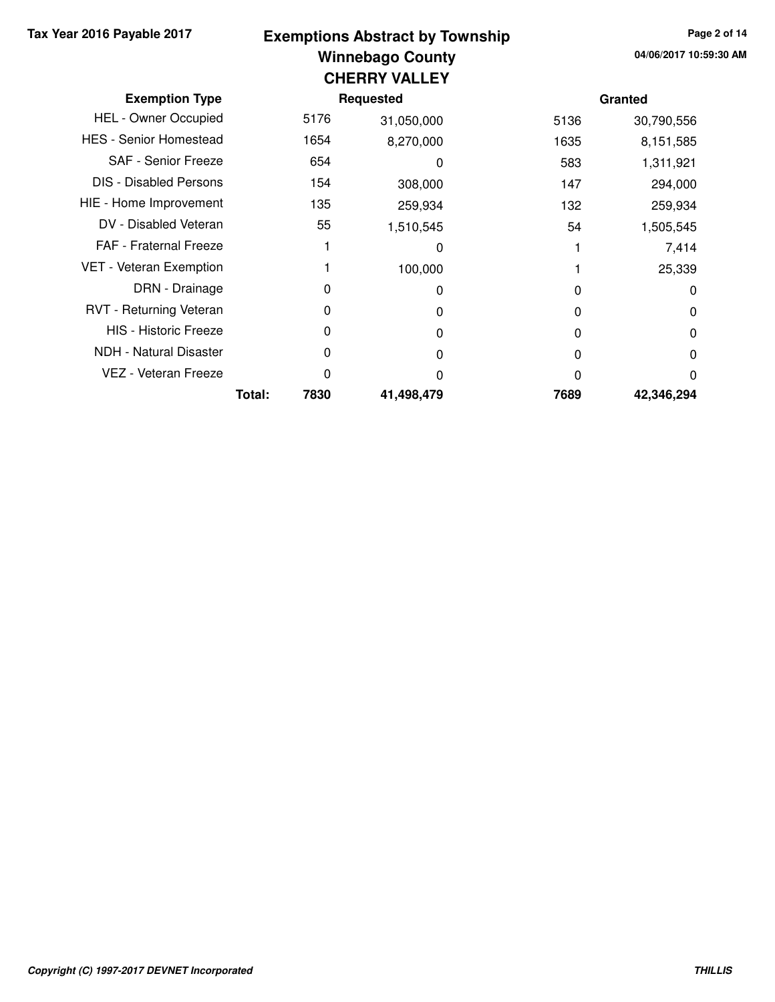# **Winnebago County Tax Year 2016 Payable 2017 Page 2 of 14 Exemptions Abstract by Township CHERRY VALLEY**

| <b>Exemption Type</b>         |        |      | Requested  |      | Granted    |  |  |  |
|-------------------------------|--------|------|------------|------|------------|--|--|--|
| HEL - Owner Occupied          |        | 5176 | 31,050,000 | 5136 | 30,790,556 |  |  |  |
| <b>HES - Senior Homestead</b> |        | 1654 | 8,270,000  | 1635 | 8,151,585  |  |  |  |
| SAF - Senior Freeze           |        | 654  | 0          | 583  | 1,311,921  |  |  |  |
| <b>DIS - Disabled Persons</b> |        | 154  | 308,000    | 147  | 294,000    |  |  |  |
| HIE - Home Improvement        |        | 135  | 259,934    | 132  | 259,934    |  |  |  |
| DV - Disabled Veteran         |        | 55   | 1,510,545  | 54   | 1,505,545  |  |  |  |
| FAF - Fraternal Freeze        |        |      | 0          |      | 7,414      |  |  |  |
| VET - Veteran Exemption       |        |      | 100,000    |      | 25,339     |  |  |  |
| DRN - Drainage                |        | 0    | 0          | 0    | 0          |  |  |  |
| RVT - Returning Veteran       |        | 0    | O          | 0    | 0          |  |  |  |
| <b>HIS - Historic Freeze</b>  |        | 0    | 0          | 0    | 0          |  |  |  |
| <b>NDH - Natural Disaster</b> |        | 0    | O          | 0    | 0          |  |  |  |
| VEZ - Veteran Freeze          |        | 0    | O          | O    | 0          |  |  |  |
|                               | Total: | 7830 | 41,498,479 | 7689 | 42,346,294 |  |  |  |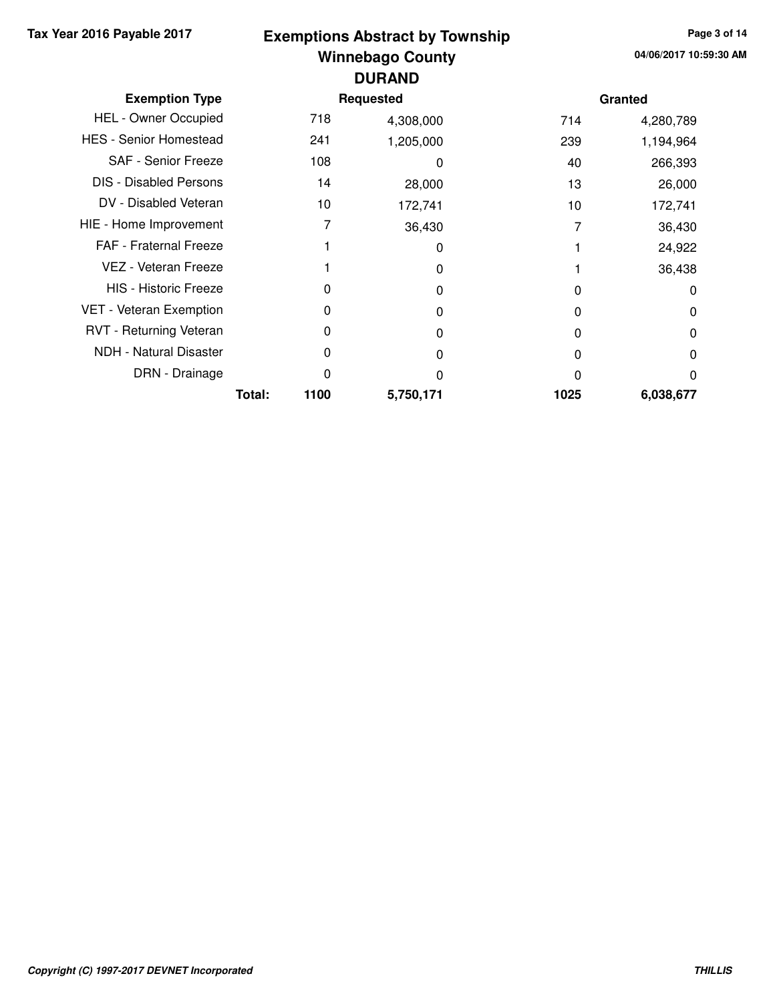### **Winnebago County Tax Year 2016 Payable 2017 Page 3 of 14 Exemptions Abstract by Township DURAND**

|                               |        |      | <b>UUILNIU</b> |      |           |
|-------------------------------|--------|------|----------------|------|-----------|
| <b>Exemption Type</b>         |        |      | Requested      |      | Granted   |
| HEL - Owner Occupied          |        | 718  | 4,308,000      | 714  | 4,280,789 |
| <b>HES - Senior Homestead</b> |        | 241  | 1,205,000      | 239  | 1,194,964 |
| <b>SAF - Senior Freeze</b>    |        | 108  | ი              | 40   | 266,393   |
| <b>DIS - Disabled Persons</b> |        | 14   | 28,000         | 13   | 26,000    |
| DV - Disabled Veteran         |        | 10   | 172,741        | 10   | 172,741   |
| HIE - Home Improvement        |        | 7    | 36,430         |      | 36,430    |
| <b>FAF</b> - Fraternal Freeze |        |      | 0              |      | 24,922    |
| VEZ - Veteran Freeze          |        |      | 0              |      | 36,438    |
| <b>HIS - Historic Freeze</b>  |        | O    | 0              | 0    | $\Omega$  |
| VET - Veteran Exemption       |        | 0    | 0              | 0    | 0         |
| RVT - Returning Veteran       |        | 0    | O              | O    | 0         |
| NDH - Natural Disaster        |        | 0    | ი              | 0    | 0         |
| DRN - Drainage                |        | 0    | 0              | ი    | 0         |
|                               | Total: | 1100 | 5,750,171      | 1025 | 6,038,677 |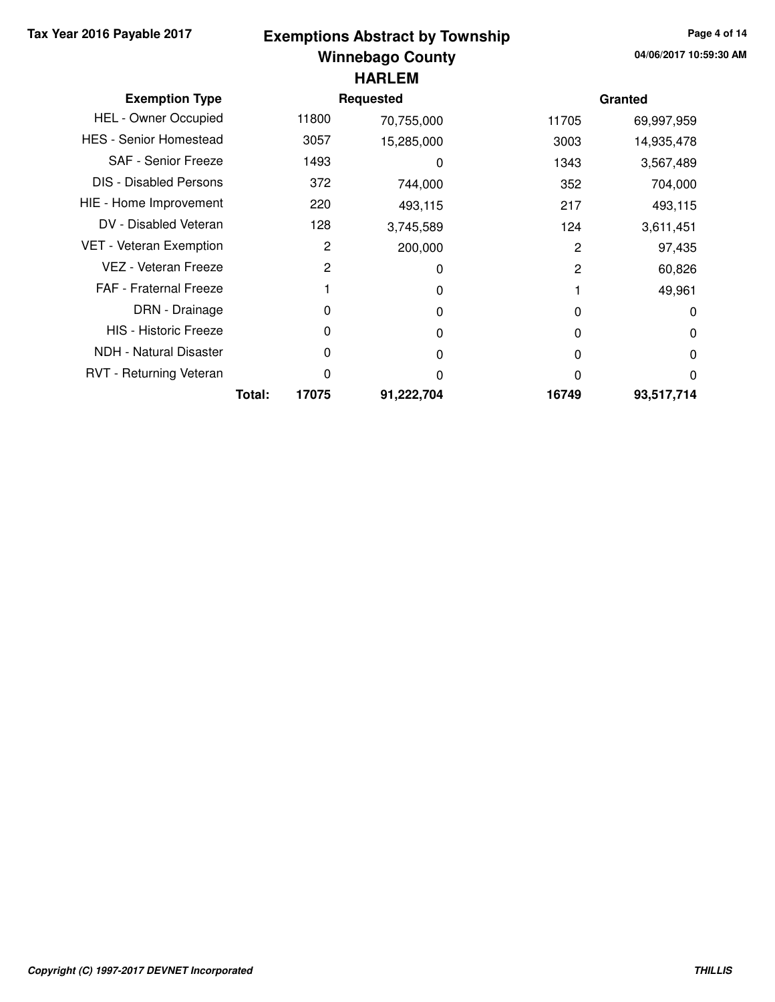# **Winnebago County Tax Year 2016 Payable 2017 Page 4 of 14 Exemptions Abstract by Township HARLEM**

| <b>Exemption Type</b>         |        |       | <b>Requested</b> |       | Granted    |
|-------------------------------|--------|-------|------------------|-------|------------|
| <b>HEL - Owner Occupied</b>   |        | 11800 | 70,755,000       | 11705 | 69,997,959 |
| <b>HES - Senior Homestead</b> |        | 3057  | 15,285,000       | 3003  | 14,935,478 |
| SAF - Senior Freeze           |        | 1493  | 0                | 1343  | 3,567,489  |
| <b>DIS - Disabled Persons</b> |        | 372   | 744,000          | 352   | 704,000    |
| HIE - Home Improvement        |        | 220   | 493,115          | 217   | 493,115    |
| DV - Disabled Veteran         |        | 128   | 3,745,589        | 124   | 3,611,451  |
| VET - Veteran Exemption       |        | 2     | 200,000          | 2     | 97,435     |
| VEZ - Veteran Freeze          |        | 2     | 0                | 2     | 60,826     |
| <b>FAF</b> - Fraternal Freeze |        |       | O                |       | 49,961     |
| DRN - Drainage                |        | 0     | 0                | 0     | $\Omega$   |
| <b>HIS - Historic Freeze</b>  |        | 0     | O                | O     | 0          |
| NDH - Natural Disaster        |        | 0     | 0                | 0     | $\Omega$   |
| RVT - Returning Veteran       |        | 0     | 0                |       | 0          |
|                               | Total: | 17075 | 91,222,704       | 16749 | 93,517,714 |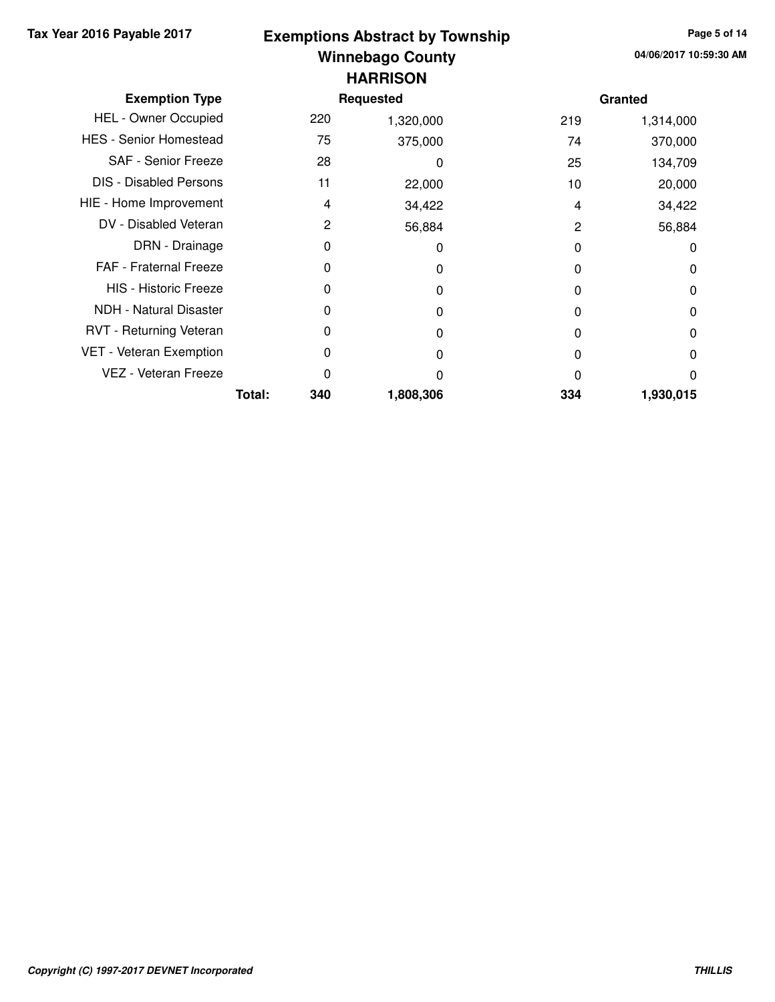### **Winnebago County Tax Year 2016 Payable 2017 Page 5 of 14 Exemptions Abstract by Township HARRISON**

| <b>Exemption Type</b>         |        |     | <b>Requested</b> |     | Granted   |
|-------------------------------|--------|-----|------------------|-----|-----------|
| <b>HEL - Owner Occupied</b>   |        | 220 | 1,320,000        | 219 | 1,314,000 |
| <b>HES - Senior Homestead</b> |        | 75  | 375,000          | 74  | 370,000   |
| SAF - Senior Freeze           |        | 28  | 0                | 25  | 134,709   |
| <b>DIS</b> - Disabled Persons |        | 11  | 22,000           | 10  | 20,000    |
| HIE - Home Improvement        |        | 4   | 34,422           | 4   | 34,422    |
| DV - Disabled Veteran         |        | 2   | 56,884           | 2   | 56,884    |
| DRN - Drainage                |        | 0   | 0                | 0   | 0         |
| <b>FAF</b> - Fraternal Freeze |        | 0   | 0                | 0   | 0         |
| <b>HIS - Historic Freeze</b>  |        | 0   | 0                | 0   | 0         |
| <b>NDH - Natural Disaster</b> |        | 0   | 0                | O   | 0         |
| RVT - Returning Veteran       |        | 0   | 0                | 0   | $\Omega$  |
| VET - Veteran Exemption       |        | 0   | 0                | 0   | 0         |
| VEZ - Veteran Freeze          |        | 0   | O                | ი   | 0         |
|                               | Total: | 340 | 1,808,306        | 334 | 1,930,015 |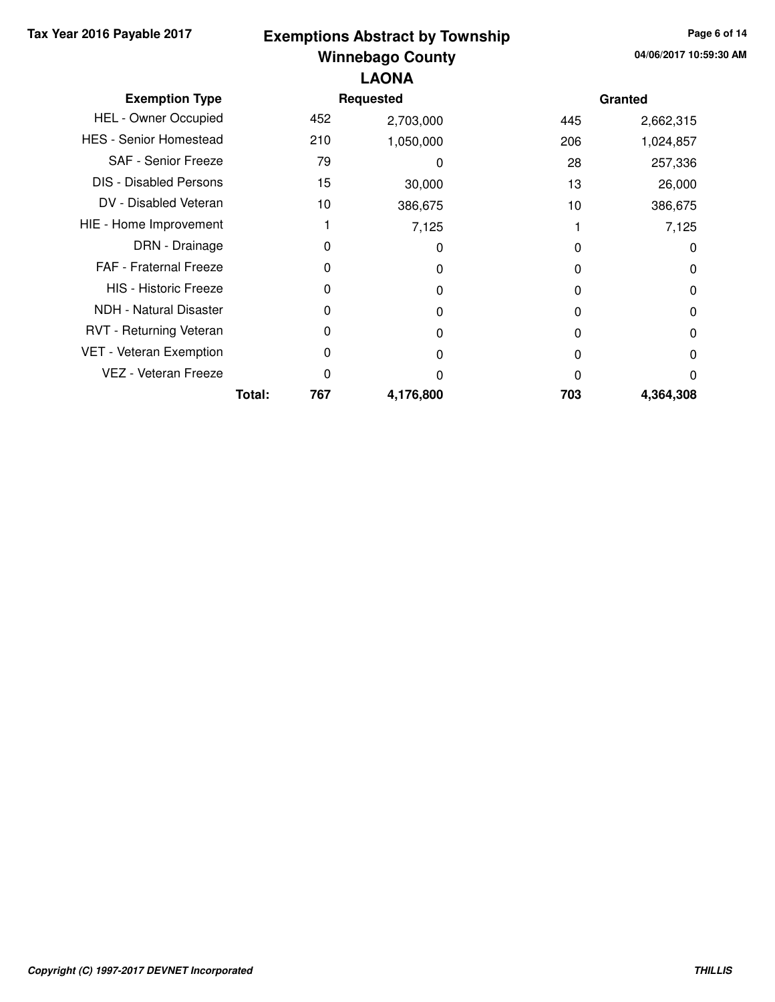# **Winnebago County Tax Year 2016 Payable 2017 Page 6 of 14 Exemptions Abstract by Township LAONA**

| <b>Exemption Type</b>         |        |     | <b>Requested</b> |     | Granted   |
|-------------------------------|--------|-----|------------------|-----|-----------|
| <b>HEL - Owner Occupied</b>   |        | 452 | 2,703,000        | 445 | 2,662,315 |
| <b>HES - Senior Homestead</b> |        | 210 | 1,050,000        | 206 | 1,024,857 |
| SAF - Senior Freeze           |        | 79  | 0                | 28  | 257,336   |
| <b>DIS - Disabled Persons</b> |        | 15  | 30,000           | 13  | 26,000    |
| DV - Disabled Veteran         |        | 10  | 386,675          | 10  | 386,675   |
| HIE - Home Improvement        |        |     | 7,125            |     | 7,125     |
| DRN - Drainage                |        | 0   | 0                | 0   | 0         |
| FAF - Fraternal Freeze        |        | 0   | 0                | 0   | 0         |
| <b>HIS - Historic Freeze</b>  |        | 0   | O                | 0   | 0         |
| NDH - Natural Disaster        |        | O   | O                | 0   | 0         |
| RVT - Returning Veteran       |        | 0   | 0                | 0   | 0         |
| VET - Veteran Exemption       |        | 0   | O                | 0   | 0         |
| VEZ - Veteran Freeze          |        | 0   | 0                | 0   | 0         |
|                               | Total: | 767 | 4,176,800        | 703 | 4,364,308 |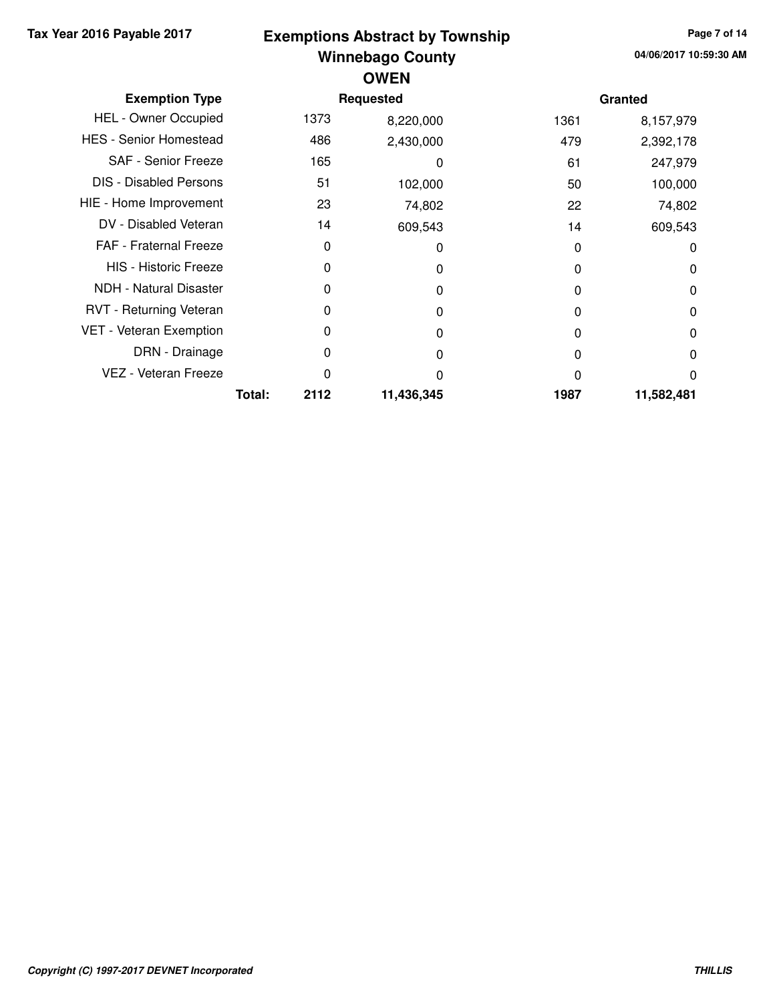## **Winnebago County Tax Year 2016 Payable 2017 Page 7 of 14 Exemptions Abstract by Township OWEN**

| <b>Exemption Type</b>         |        |      | <b>Requested</b> |      | Granted    |  |  |  |
|-------------------------------|--------|------|------------------|------|------------|--|--|--|
| <b>HEL - Owner Occupied</b>   |        | 1373 | 8,220,000        | 1361 | 8,157,979  |  |  |  |
| <b>HES - Senior Homestead</b> |        | 486  | 2,430,000        | 479  | 2,392,178  |  |  |  |
| <b>SAF - Senior Freeze</b>    |        | 165  | 0                | 61   | 247,979    |  |  |  |
| <b>DIS - Disabled Persons</b> |        | 51   | 102,000          | 50   | 100,000    |  |  |  |
| HIE - Home Improvement        |        | 23   | 74,802           | 22   | 74,802     |  |  |  |
| DV - Disabled Veteran         |        | 14   | 609,543          | 14   | 609,543    |  |  |  |
| <b>FAF</b> - Fraternal Freeze |        | 0    | 0                | 0    | 0          |  |  |  |
| <b>HIS - Historic Freeze</b>  |        | 0    | 0                | 0    | 0          |  |  |  |
| NDH - Natural Disaster        |        | 0    | 0                | 0    | 0          |  |  |  |
| RVT - Returning Veteran       |        | 0    | O                | 0    | 0          |  |  |  |
| VET - Veteran Exemption       |        | 0    | 0                | 0    | 0          |  |  |  |
| DRN - Drainage                |        | 0    |                  | 0    | 0          |  |  |  |
| VEZ - Veteran Freeze          |        | 0    | n                | 0    | 0          |  |  |  |
|                               | Total: | 2112 | 11,436,345       | 1987 | 11,582,481 |  |  |  |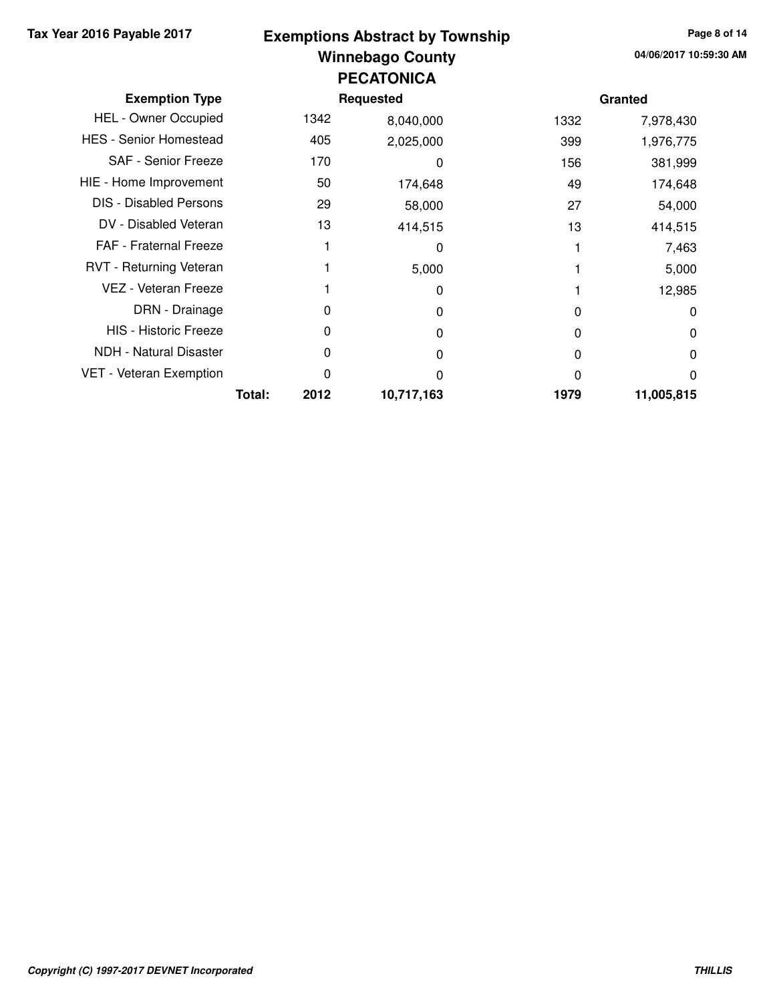### **Winnebago County Tax Year 2016 Payable 2017 Page 8 of 14 Exemptions Abstract by Township PECATONICA**

| <b>Exemption Type</b>         |        |      | Requested  |      | Granted    |
|-------------------------------|--------|------|------------|------|------------|
| <b>HEL - Owner Occupied</b>   |        | 1342 | 8,040,000  | 1332 | 7,978,430  |
| <b>HES - Senior Homestead</b> |        | 405  | 2,025,000  | 399  | 1,976,775  |
| SAF - Senior Freeze           |        | 170  | 0          | 156  | 381,999    |
| HIE - Home Improvement        |        | 50   | 174,648    | 49   | 174,648    |
| <b>DIS - Disabled Persons</b> |        | 29   | 58,000     | 27   | 54,000     |
| DV - Disabled Veteran         |        | 13   | 414,515    | 13   | 414,515    |
| <b>FAF - Fraternal Freeze</b> |        |      | 0          |      | 7,463      |
| RVT - Returning Veteran       |        |      | 5,000      |      | 5,000      |
| VEZ - Veteran Freeze          |        |      | 0          |      | 12,985     |
| DRN - Drainage                |        | 0    | 0          | 0    | $\Omega$   |
| <b>HIS - Historic Freeze</b>  |        | 0    | 0          | 0    | $\Omega$   |
| NDH - Natural Disaster        |        | 0    | 0          | 0    | 0          |
| VET - Veteran Exemption       |        | 0    | O          | 0    | 0          |
|                               | Total: | 2012 | 10,717,163 | 1979 | 11,005,815 |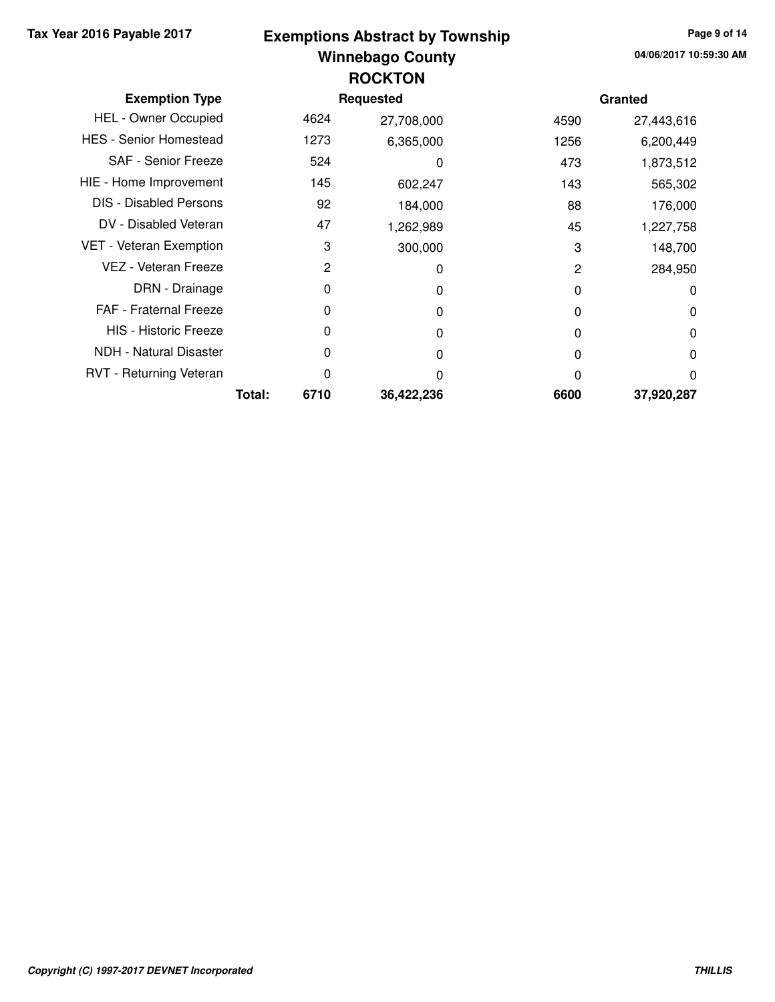## **Winnebago County Tax Year 2016 Payable 2017 Page 9 of 14 Exemptions Abstract by Township ROCKTON**

| <b>Exemption Type</b>         |        |      | <b>Requested</b> |      | Granted    |
|-------------------------------|--------|------|------------------|------|------------|
| <b>HEL - Owner Occupied</b>   |        | 4624 | 27,708,000       | 4590 | 27,443,616 |
| <b>HES - Senior Homestead</b> |        | 1273 | 6,365,000        | 1256 | 6,200,449  |
| <b>SAF - Senior Freeze</b>    |        | 524  | 0                | 473  | 1,873,512  |
| HIE - Home Improvement        |        | 145  | 602,247          | 143  | 565,302    |
| <b>DIS</b> - Disabled Persons |        | 92   | 184,000          | 88   | 176,000    |
| DV - Disabled Veteran         |        | 47   | 1,262,989        | 45   | 1,227,758  |
| VET - Veteran Exemption       |        | 3    | 300,000          | 3    | 148,700    |
| VEZ - Veteran Freeze          |        | 2    | 0                | 2    | 284,950    |
| DRN - Drainage                |        | 0    | 0                | 0    | 0          |
| <b>FAF - Fraternal Freeze</b> |        | 0    | 0                | 0    | 0          |
| <b>HIS - Historic Freeze</b>  |        | 0    | 0                | 0    | 0          |
| <b>NDH - Natural Disaster</b> |        | 0    | O                | 0    | 0          |
| RVT - Returning Veteran       |        | 0    | O                | 0    | 0          |
|                               | Total: | 6710 | 36,422,236       | 6600 | 37,920,287 |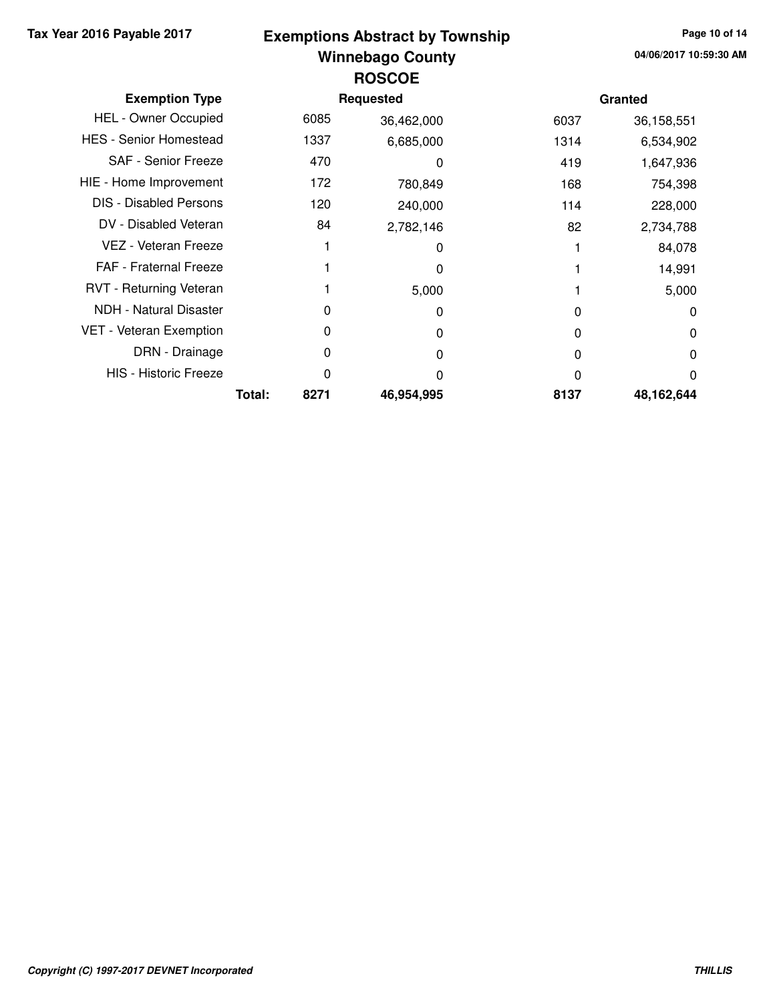#### **Winnebago County Tax Year 2016 Payable 2017 Page 10 of 14 Exemptions Abstract by Township ROSCOE**

| <b>Exemption Type</b>         |                | Requested  |      | Granted    |
|-------------------------------|----------------|------------|------|------------|
| <b>HEL - Owner Occupied</b>   | 6085           | 36,462,000 | 6037 | 36,158,551 |
| <b>HES - Senior Homestead</b> | 1337           | 6,685,000  | 1314 | 6,534,902  |
| <b>SAF - Senior Freeze</b>    | 470            | 0          | 419  | 1,647,936  |
| HIE - Home Improvement        | 172            | 780,849    | 168  | 754,398    |
| <b>DIS - Disabled Persons</b> | 120            | 240,000    | 114  | 228,000    |
| DV - Disabled Veteran         | 84             | 2,782,146  | 82   | 2,734,788  |
| VEZ - Veteran Freeze          |                | 0          |      | 84,078     |
| FAF - Fraternal Freeze        |                | 0          |      | 14,991     |
| RVT - Returning Veteran       |                | 5,000      |      | 5,000      |
| <b>NDH</b> - Natural Disaster | 0              | 0          | O    | 0          |
| VET - Veteran Exemption       | 0              | 0          | 0    | 0          |
| DRN - Drainage                | 0              | 0          | 0    | 0          |
| <b>HIS - Historic Freeze</b>  | 0              | O          | O    | 0          |
|                               | Total:<br>8271 | 46,954,995 | 8137 | 48,162,644 |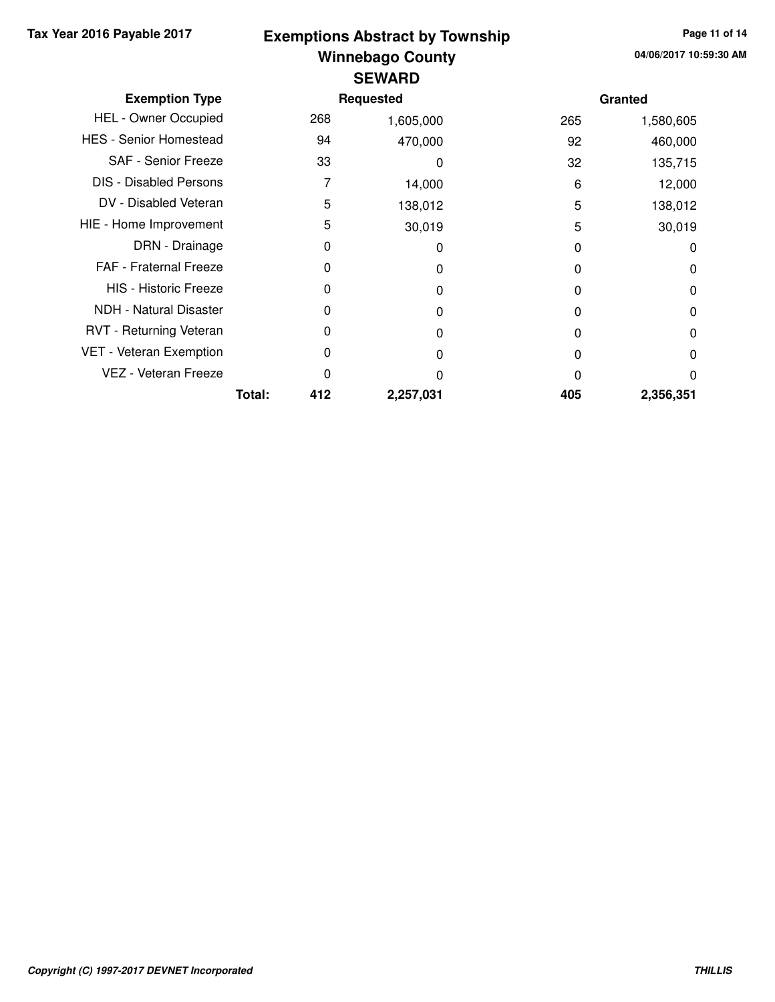### **Winnebago County Tax Year 2016 Payable 2017 Page 11 of 14 Exemptions Abstract by Township SEWARD**

| <b>Exemption Type</b>         |        |     | <b>Requested</b> |     | Granted   |
|-------------------------------|--------|-----|------------------|-----|-----------|
| <b>HEL - Owner Occupied</b>   |        | 268 | 1,605,000        | 265 | 1,580,605 |
| <b>HES - Senior Homestead</b> |        | 94  | 470,000          | 92  | 460,000   |
| <b>SAF - Senior Freeze</b>    |        | 33  | 0                | 32  | 135,715   |
| <b>DIS - Disabled Persons</b> |        |     | 14,000           | 6   | 12,000    |
| DV - Disabled Veteran         |        | 5   | 138,012          | 5   | 138,012   |
| HIE - Home Improvement        |        | 5   | 30,019           | 5   | 30,019    |
| DRN - Drainage                |        | 0   | 0                | 0   | 0         |
| FAF - Fraternal Freeze        |        | 0   | O                | O   | 0         |
| <b>HIS - Historic Freeze</b>  |        | 0   | O                | O   | 0         |
| <b>NDH - Natural Disaster</b> |        | 0   | O                | O   | 0         |
| RVT - Returning Veteran       |        | 0   | 0                | 0   | $\Omega$  |
| VET - Veteran Exemption       |        | 0   | O                | 0   | $\Omega$  |
| VEZ - Veteran Freeze          |        | 0   | ი                | O   | 0         |
|                               | Total: | 412 | 2,257,031        | 405 | 2,356,351 |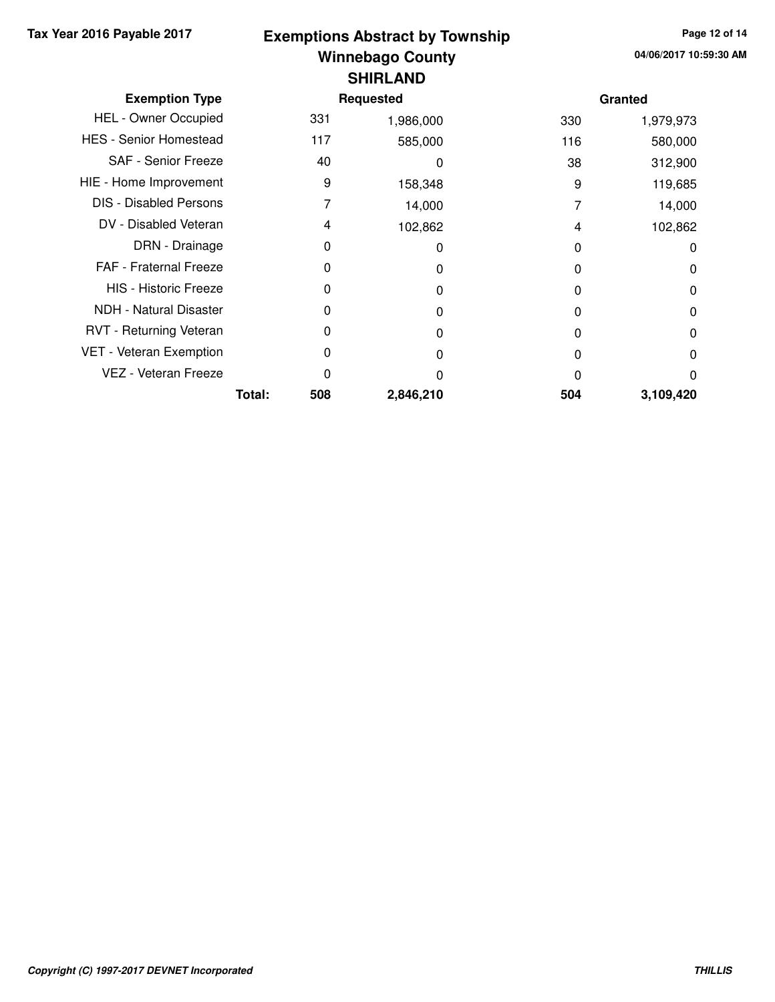## **Winnebago County Tax Year 2016 Payable 2017 Page 12 of 14 Exemptions Abstract by Township SHIRLAND**

| <b>Exemption Type</b>         |        |     | <b>Requested</b> |     | Granted   |
|-------------------------------|--------|-----|------------------|-----|-----------|
| <b>HEL - Owner Occupied</b>   |        | 331 | 1,986,000        | 330 | 1,979,973 |
| <b>HES - Senior Homestead</b> |        | 117 | 585,000          | 116 | 580,000   |
| SAF - Senior Freeze           |        | 40  | 0                | 38  | 312,900   |
| HIE - Home Improvement        |        | 9   | 158,348          | 9   | 119,685   |
| <b>DIS - Disabled Persons</b> |        | 7   | 14,000           | 7   | 14,000    |
| DV - Disabled Veteran         |        | 4   | 102,862          | 4   | 102,862   |
| DRN - Drainage                |        | 0   | 0                | 0   | 0         |
| <b>FAF</b> - Fraternal Freeze |        | 0   | O                | 0   | 0         |
| <b>HIS - Historic Freeze</b>  |        | 0   | O                | 0   | 0         |
| <b>NDH</b> - Natural Disaster |        | 0   |                  | 0   | 0         |
| RVT - Returning Veteran       |        | 0   | O                | 0   | 0         |
| VET - Veteran Exemption       |        | 0   | O                | 0   | 0         |
| VEZ - Veteran Freeze          |        | 0   | n                | O   | 0         |
|                               | Total: | 508 | 2,846,210        | 504 | 3,109,420 |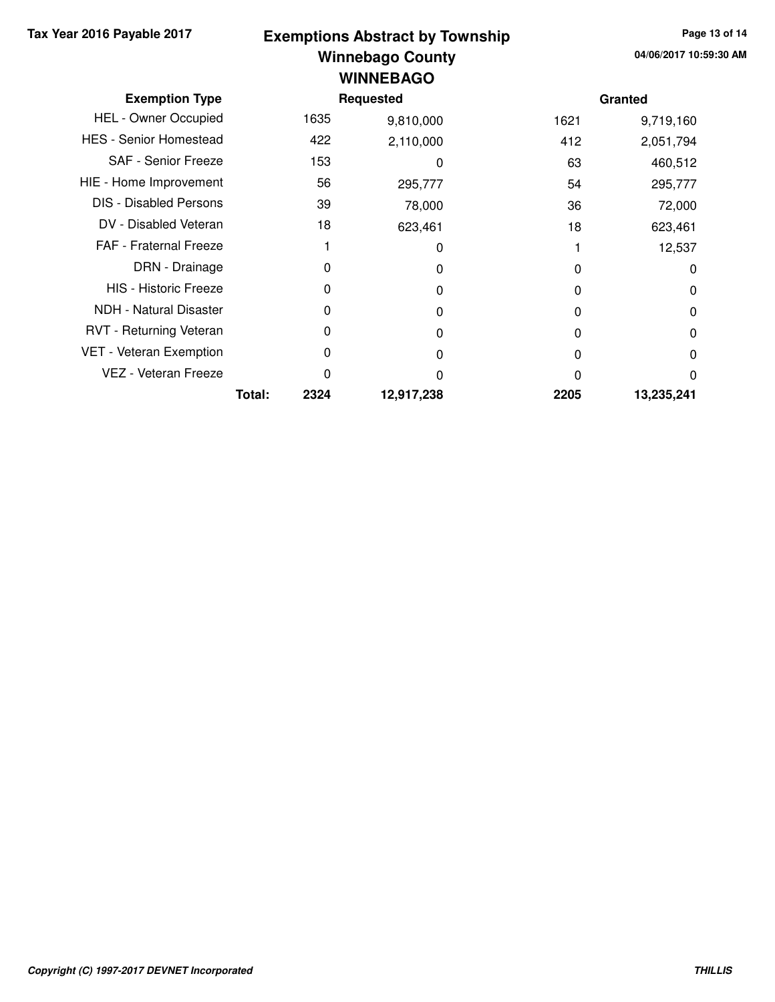#### **Winnebago County Tax Year 2016 Payable 2017 Page 13 of 14 Exemptions Abstract by Township WINNEBAGO**

| <b>Exemption Type</b>         |        | Requested |            |      | Granted    |  |
|-------------------------------|--------|-----------|------------|------|------------|--|
| <b>HEL - Owner Occupied</b>   |        | 1635      | 9,810,000  | 1621 | 9,719,160  |  |
| <b>HES - Senior Homestead</b> |        | 422       | 2,110,000  | 412  | 2,051,794  |  |
| <b>SAF - Senior Freeze</b>    |        | 153       | 0          | 63   | 460,512    |  |
| HIE - Home Improvement        |        | 56        | 295,777    | 54   | 295,777    |  |
| <b>DIS - Disabled Persons</b> |        | 39        | 78,000     | 36   | 72,000     |  |
| DV - Disabled Veteran         |        | 18        | 623,461    | 18   | 623,461    |  |
| <b>FAF</b> - Fraternal Freeze |        |           | 0          |      | 12,537     |  |
| DRN - Drainage                |        | 0         | 0          | 0    | 0          |  |
| <b>HIS - Historic Freeze</b>  |        | 0         | O          | 0    | 0          |  |
| NDH - Natural Disaster        |        | 0         | 0          | 0    | 0          |  |
| RVT - Returning Veteran       |        | 0         | O          | 0    | 0          |  |
| VET - Veteran Exemption       |        | 0         | O          | 0    | 0          |  |
| VEZ - Veteran Freeze          |        | 0         | ŋ          | 0    | 0          |  |
|                               | Total: | 2324      | 12,917,238 | 2205 | 13,235,241 |  |